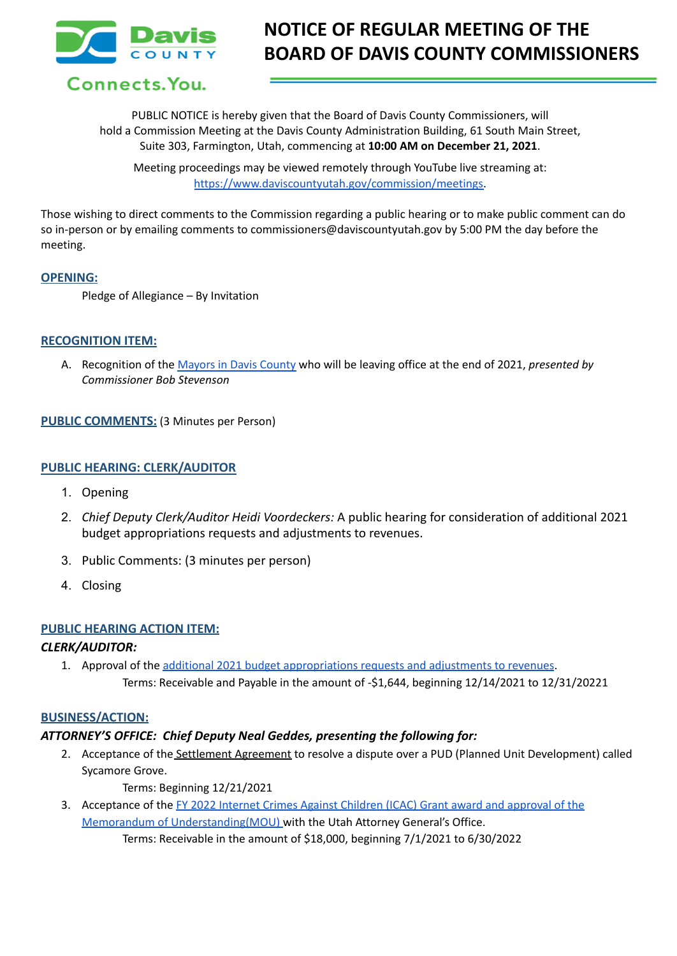

# **NOTICE OF REGULAR MEETING OF THE BOARD OF DAVIS COUNTY COMMISSIONERS**

Connects. You.

PUBLIC NOTICE is hereby given that the Board of Davis County Commissioners, will hold a Commission Meeting at the Davis County Administration Building, 61 South Main Street, Suite 303, Farmington, Utah, commencing at **10:00 AM on December 21, 2021**.

Meeting proceedings may be viewed remotely through YouTube live streaming at: [https://www.daviscountyutah.gov/commission/meetings.](https://www.daviscountyutah.gov/commission/meetings)

Those wishing to direct comments to the Commission regarding a public hearing or to make public comment can do so in-person or by emailing comments to commissioners@daviscountyutah.gov by 5:00 PM the day before the meeting.

#### **OPENING:**

Pledge of Allegiance – By Invitation

#### **RECOGNITION ITEM:**

A. Recognition of the [Mayors](https://drive.google.com/file/d/17J0h4BLGsxVSa73yi0E3fWrW4H8wJkEN/view?usp=sharing) in Davis County who will be leaving office at the end of 2021, *presented by Commissioner Bob Stevenson*

**PUBLIC COMMENTS:** (3 Minutes per Person)

#### **PUBLIC HEARING: CLERK/AUDITOR**

- 1. Opening
- 2. *Chief Deputy Clerk/Auditor Heidi Voordeckers:* A public hearing for consideration of additional 2021 budget appropriations requests and adjustments to revenues.
- 3. Public Comments: (3 minutes per person)
- 4. Closing

#### **PUBLIC HEARING ACTION ITEM:**

### *CLERK/AUDITOR:*

1. Approval of the additional 2021 budget [appropriations](https://drive.google.com/file/d/1OyvxmXnmsDexVtjeQy1zI_vGaoK63coS/view?usp=sharing) requests and adjustments to revenues. Terms: Receivable and Payable in the amount of -\$1,644, beginning 12/14/2021 to 12/31/20221

### **BUSINESS/ACTION:**

### *ATTORNEY'S OFFICE: Chief Deputy Neal Geddes, presenting the following for:*

2. Acceptance of the Settlement Agreement to resolve a dispute over a PUD (Planned Unit Development) called Sycamore Grove.

Terms: Beginning 12/21/2021

3. Acceptance of the FY 2022 Internet Crimes Against Children (ICAC) Grant award and [approval](https://drive.google.com/file/d/1UJM1nR_4bUDzaIKXRdW9fGkBzMyGe6CH/view?usp=sharing) of the Memorandum of [Understanding\(MOU\)](https://drive.google.com/file/d/1UJM1nR_4bUDzaIKXRdW9fGkBzMyGe6CH/view?usp=sharing) with the Utah Attorney General's Office. Terms: Receivable in the amount of \$18,000, beginning 7/1/2021 to 6/30/2022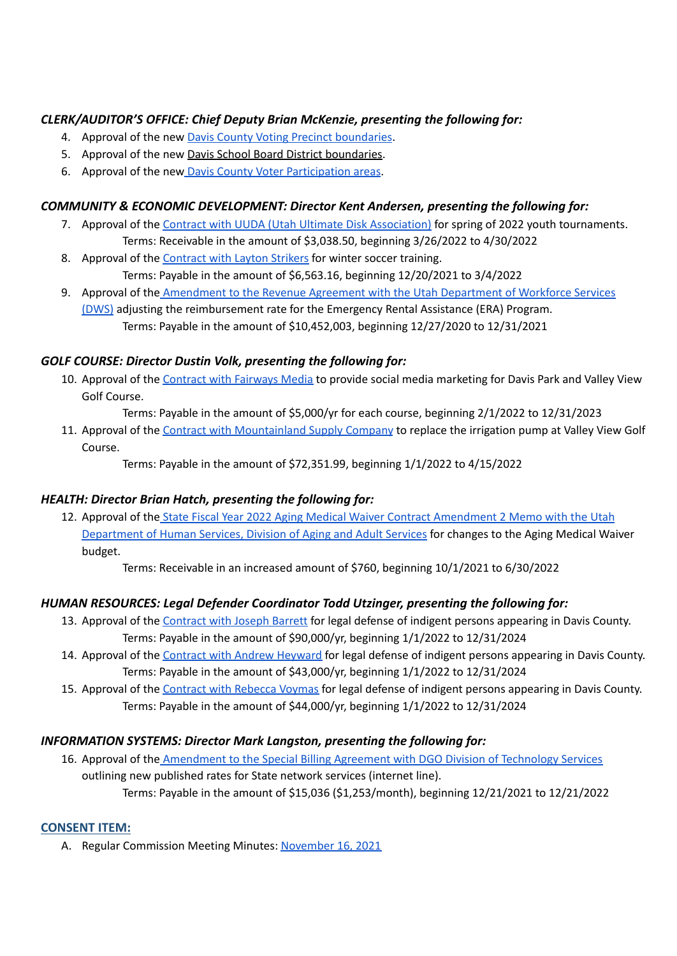# *CLERK/AUDITOR'S OFFICE: Chief Deputy Brian McKenzie, presenting the following for:*

- 4. Approval of the new Davis County Voting Precinct [boundaries](https://drive.google.com/file/d/1dpR6ixl1EmmaJ1wdV__Qu4tzuS2UQJ8x/view?usp=sharing).
- 5. Approval of the new Davis School Board District boundaries.
- 6. Approval of the new Davis County Voter [Participation](https://drive.google.com/file/d/1d16aCY34_LZXLSsxiqugQgvqPR-fsbld/view?usp=sharing) areas.

# *COMMUNITY & ECONOMIC DEVELOPMENT: Director Kent Andersen, presenting the following for:*

- 7. Approval of the Contract with UUDA (Utah Ultimate Disk [Association\)](https://drive.google.com/file/d/1a8Cpy6Qhuwl_y7hY_aYsBCb1ORE4I6Nv/view?usp=sharing) for spring of 2022 youth tournaments. Terms: Receivable in the amount of \$3,038.50, beginning 3/26/2022 to 4/30/2022
- 8. Approval of the [Contract](https://drive.google.com/file/d/10VRTVQ4CL8FokrgnBVG7m08QkOg5knrT/view?usp=sharing) with Layton Strikers for winter soccer training. Terms: Payable in the amount of \$6,563.16, beginning 12/20/2021 to 3/4/2022
- 9. Approval of the [Amendment](https://drive.google.com/file/d/15mnqZG--8thOv_YB9SMmo6RLXmLXFMDU/view?usp=sharing) to the Revenue Agreement with the Utah Department of Workforce Services [\(DWS\)](https://drive.google.com/file/d/15mnqZG--8thOv_YB9SMmo6RLXmLXFMDU/view?usp=sharing) adjusting the reimbursement rate for the Emergency Rental Assistance (ERA) Program. Terms: Payable in the amount of \$10,452,003, beginning 12/27/2020 to 12/31/2021

# *GOLF COURSE: Director Dustin Volk, presenting the following for:*

10. Approval of the Contract with [Fairways](https://drive.google.com/file/d/1ThIH-09wmn_3Y5e245sc7uuB8zVXyjP_/view?usp=sharing) Media to provide social media marketing for Davis Park and Valley View Golf Course.

Terms: Payable in the amount of \$5,000/yr for each course, beginning 2/1/2022 to 12/31/2023

11. Approval of the Contract with [Mountainland](https://drive.google.com/file/d/1aajI-LZG13osTu-i6dj4QouRCC8fT17W/view?usp=sharing) Supply Company to replace the irrigation pump at Valley View Golf Course.

Terms: Payable in the amount of \$72,351.99, beginning 1/1/2022 to 4/15/2022

# *HEALTH: Director Brian Hatch, presenting the following for:*

12. Approval of the State Fiscal Year 2022 Aging Medical Waiver Contract [Amendment](https://drive.google.com/file/d/1xZP3OuMfVWccUz3N2-3ZRGUqGDbL9eoe/view?usp=sharing) 2 Memo with the Utah [Department](https://drive.google.com/file/d/1xZP3OuMfVWccUz3N2-3ZRGUqGDbL9eoe/view?usp=sharing) of Human Services, Division of Aging and Adult Services for changes to the Aging Medical Waiver budget.

Terms: Receivable in an increased amount of \$760, beginning 10/1/2021 to 6/30/2022

# *HUMAN RESOURCES: Legal Defender Coordinator Todd Utzinger, presenting the following for:*

- 13. Approval of the [Contract](https://drive.google.com/file/d/1XN0STLrGSLQzeBK-eEiVYkGEkq4yRdIK/view?usp=sharing) with Joseph Barrett for legal defense of indigent persons appearing in Davis County. Terms: Payable in the amount of \$90,000/yr, beginning 1/1/2022 to 12/31/2024
- 14. Approval of the Contract with Andrew [Heyward](https://drive.google.com/file/d/1sqBy3Zy6yqvZJn-3rm0KiwDjtgY1prvQ/view?usp=sharing) for legal defense of indigent persons appearing in Davis County. Terms: Payable in the amount of \$43,000/yr, beginning 1/1/2022 to 12/31/2024
- 15. Approval of the [Contract](https://drive.google.com/file/d/1xZg-Xnlskj00kF2H4qIXrERd_rGJP-ca/view?usp=sharing) with Rebecca Voymas for legal defense of indigent persons appearing in Davis County. Terms: Payable in the amount of \$44,000/yr, beginning 1/1/2022 to 12/31/2024

# *INFORMATION SYSTEMS: Director Mark Langston, presenting the following for:*

16. Approval of the [Amendment](https://drive.google.com/file/d/1xWd6A9XP3n-zxL9zgzxpG9DwWbCkhwR5/view?usp=sharing) to the Special Billing Agreement with DGO Division of Technology Services outlining new published rates for State network services (internet line). Terms: Payable in the amount of \$15,036 (\$1,253/month), beginning 12/21/2021 to 12/21/2022

### **CONSENT ITEM:**

A. Regular Commission Meeting Minutes: [November](https://drive.google.com/file/d/1pBrFzi0yuIlPkAR-yFD19xOXdaaDDOPS/view?usp=sharing) 16, 2021